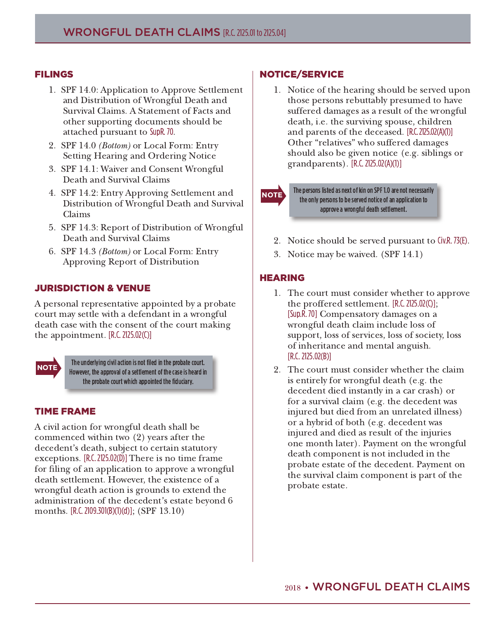#### **FILINGS**

- 1. SPF 14.0: Application to Approve Settlement and Distribution of Wrongful Death and Survival Claims. A Statement of Facts and other supporting documents should be attached pursuant to SupR. 70.
- 2. SPF 14.0 *(Bottom)* or Local Form: Entry Setting Hearing and Ordering Notice
- 3. SPF 14.1: Waiver and Consent Wrongful Death and Survival Claims
- 4. SPF 14.2: Entry Approving Settlement and Distribution of Wrongful Death and Survival Claims
- 5. SPF 14.3: Report of Distribution of Wrongful Death and Survival Claims
- 6. SPF 14.3 *(Bottom)* or Local Form: Entry Approving Report of Distribution

# **JURISDICTION & VENUE**

A personal representative appointed by a probate court may settle with a defendant in a wrongful death case with the consent of the court making the appointment.  $[R.C. 2125.02(C)]$ 



The underlying civil action is not filed in the probate court. However, the approval of a settlement of the case is heard in the probate court which appointed the fiduciary.

## **TIME FRAME**

A civil action for wrongful death shall be commenced within two  $(2)$  years after the decedent's death, subject to certain statutory exceptions.  $[R.C. 2125.02(D)]$  There is no time frame for filing of an application to approve a wrongful death settlement. However, the existence of a wrongful death action is grounds to extend the administration of the decedent's estate beyond 6 months.  $[R.C. 2109.301(B)(1)(d)]; (SPF 13.10)$ 

# NOTICE/SERVICE

1. Notice of the hearing should be served upon those persons rebuttably presumed to have suffered damages as a result of the wrongful death, i.e. the surviving spouse, children and parents of the deceased. [R.C. 2125.02(A)(1)] Other "relatives" who suffered damages should also be given notice (e.g. siblings or  $grandparents$ ). [R.C. 2125.02(A)(1)]

The persons listed as next of kin on SPF 1.0 are not necessarily the only persons to be served notice of an application to approve a wrongful death settlement.

- 2. Notice should be served pursuant to Civ.R. 73(E).
- 3. Notice may be waived.  $(SPF 14.1)$

## $HEARING$

**NOTE** 

- 1. The court must consider whether to approve the proffered settlement. [R.C. 2125.02(C)]; [Sup.R. 70] Compensatory damages on a wrongful death claim include loss of support, loss of services, loss of society, loss of inheritance and mental anguish.  $[R.C. 2125.02(B)]$
- 2. The court must consider whether the claim is entirely for wrongful death (e.g. the decedent died instantly in a car crash) or for a survival claim (e.g. the decedent was injured but died from an unrelated illness) or a hybrid of both (e.g. decedent was injured and died as result of the injuries one month later). Payment on the wrongful death component is not included in the probate estate of the decedent. Payment on the survival claim component is part of the probate estate.